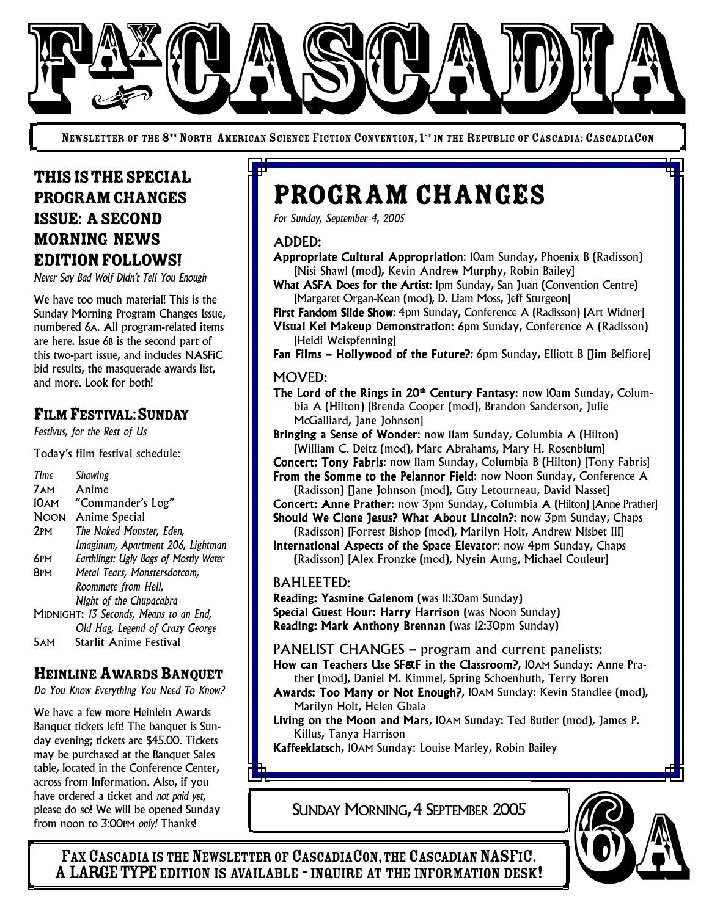

NEWSLETTER OF THE 8<sup>th</sup> North American Science Fiction Convention, 1<sup>st</sup> in the Republic of Cascadia: CascadiaCon

## THISISTHESPECIAL PROGRAM CHANGES ISSUE: ASECOND MORNING NEWS EDITIONFOLLOWS!

*Never Say Bad Wolf Didn't Tell You Enough*

We have too much material! This is the Sunday Morning Program Changes Issue, numbered 6A. All program-related items are here. Issue 6B is the second part of this two-part issue, and includes NASFiC bid results, the masquerade awards list, and more. Look for both!

## FILM FESTIVAL:SUNDAY

*Festivus, for the Rest of Us*

Today's film festival schedule:

| Time                                   | Showing                               |
|----------------------------------------|---------------------------------------|
| 7 AM                                   | Anime                                 |
| 10 AM                                  | "Commander's Log"                     |
| <b>NOON</b>                            | <b>Anime Special</b>                  |
| 2PM                                    | The Naked Monster, Eden,              |
|                                        | Imaginum, Apartment 206, Lightman     |
| 6pm                                    | Earthlings: Ugly Bags of Mostly Water |
| 8pm                                    | Metal Tears, Monstersdotcom,          |
|                                        | Roommate from Hell,                   |
|                                        | Night of the Chupacabra               |
| MIDNIGHT: 13 Seconds, Means to an End, |                                       |
|                                        | Old Hag, Legend of Crazy George       |
| AΜ                                     | Starlit Anime Festival                |

## HEINLINE AWARDS BANQUET

*Do You Know Everything You Need To Know?*

We have a few more Heinlein Awards Banquet tickets left! The banquet is Sunday evening; tickets are \$45.00. Tickets may be purchased at the Banquet Sales table, located in the Conference Center, across from Information. Also, if you have ordered a ticket and *not paid yet*, please do so! We will be opened Sunday from noon to 3:00PM *only!* Thanks!

# Program Changes

*For Sunday, September 4, 2005*

#### ADDED:

Appropriate Cultural Appropriation: 10am Sunday, Phoenix B (Radisson) [Nisi Shawl (mod), Kevin Andrew Murphy, Robin Bailey]

What ASFA Does for the Artist: Ipm Sunday, San Juan (Convention Centre) [Margaret Organ-Kean (mod), D. Liam Moss, Jeff Sturgeon]

First Fandom Slide Show*:* 4pm Sunday, Conference A (Radisson) [Art Widner] Visual Kei Makeup Demonstration: 6pm Sunday, Conference A (Radisson) [Heidi Weispfenning]

Fan Films – Hollywood of the Future?*:* 6pm Sunday, Elliott B [Jim Belfiore]

#### MOVED:

The Lord of the Rings in 20<sup>th</sup> Century Fantasy: now 10am Sunday, Columbia A (Hilton) [Brenda Cooper (mod), Brandon Sanderson, Julie McGalliard, Jane Johnson]

Bringing a Sense of Wonder: now 11am Sunday, Columbia A (Hilton) [William C. Deitz (mod), Marc Abrahams, Mary H. Rosenblum]

Concert: Tony Fabris: now 11am Sunday, Columbia B (Hilton) [Tony Fabris] From the Somme to the Pelannor Field: now Noon Sunday, Conference A

(Radisson) [Jane Johnson (mod), Guy Letourneau, David Nasset] Concert: Anne Prather: now 3pm Sunday, Columbia A (Hilton) [Anne Prather] Should We Clone Jesus? What About Lincoln?: now 3pm Sunday, Chaps

(Radisson) [Forrest Bishop (mod), Marilyn Holt, Andrew Nisbet III] International Aspects of the Space Elevator: now 4pm Sunday, Chaps

(Radisson) [Alex Fronzke (mod), Nyein Aung, Michael Couleur]

#### BAHLEETED:

Reading: Yasmine Galenom (was 11:30am Sunday) Special Guest Hour: Harry Harrison (was Noon Sunday) Reading: Mark Anthony Brennan (was 12:30pm Sunday)

PANELIST CHANGES – program and current panelists:

How can Teachers Use SF&F in the Classroom?, 10AM Sunday: Anne Prather (mod), Daniel M. Kimmel, Spring Schoenhuth, Terry Boren

- Awards: Too Many or Not Enough?, 10AM Sunday: Kevin Standlee (mod), Marilyn Holt, Helen Gbala
- Living on the Moon and Mars, 10AM Sunday: Ted Butler (mod), James P. Killus, Tanya Harrison

Kaffeeklatsch, 10AM Sunday: Louise Marley, Robin Bailey

SUNDAY MORNING, 4 SEPTEMBER 2005



FAX CASCADIA IS THE NEWSLETTER OF CASCADIACON, THE CASCADIAN NASFIC.<br>A LARGE TYPE EDITION IS AVAILABLE - INQUIRE AT THE INFORMATION DESK! SE FOR INformation. Also, if you<br>ordered a ticket and *not paid yet*,<br>noon to 3:00PM *only!* Thanks!<br>FAX CASCADIA IS THE NEWSLETTER OF CASCADIACON, THE CASCADIAN NASFIC.<br>A LARGE TYPE EDITION IS AVAILABLE - INQUIRE AT THE I